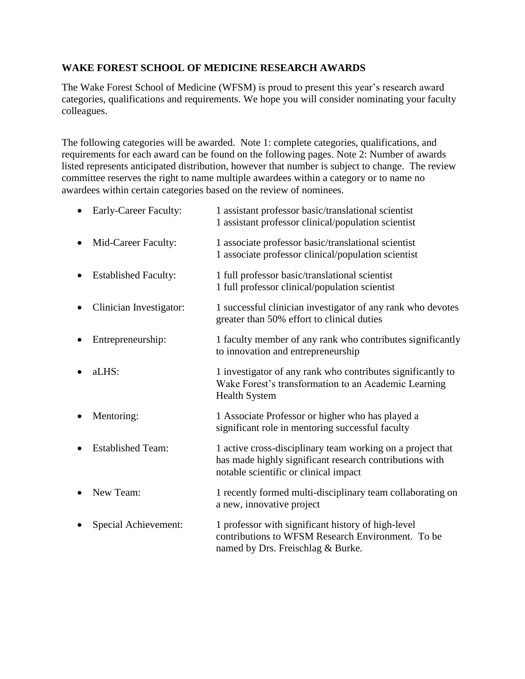#### **WAKE FOREST SCHOOL OF MEDICINE RESEARCH AWARDS**

The Wake Forest School of Medicine (WFSM) is proud to present this year's research award categories, qualifications and requirements. We hope you will consider nominating your faculty colleagues.

The following categories will be awarded. Note 1: complete categories, qualifications, and requirements for each award can be found on the following pages. Note 2: Number of awards listed represents anticipated distribution, however that number is subject to change. The review committee reserves the right to name multiple awardees within a category or to name no awardees within certain categories based on the review of nominees.

| Early-Career Faculty:       | 1 assistant professor basic/translational scientist<br>1 assistant professor clinical/population scientist                                                     |
|-----------------------------|----------------------------------------------------------------------------------------------------------------------------------------------------------------|
| Mid-Career Faculty:         | 1 associate professor basic/translational scientist<br>1 associate professor clinical/population scientist                                                     |
| <b>Established Faculty:</b> | 1 full professor basic/translational scientist<br>1 full professor clinical/population scientist                                                               |
| Clinician Investigator:     | 1 successful clinician investigator of any rank who devotes<br>greater than 50% effort to clinical duties                                                      |
| Entrepreneurship:           | 1 faculty member of any rank who contributes significantly<br>to innovation and entrepreneurship                                                               |
| aLHS:                       | 1 investigator of any rank who contributes significantly to<br>Wake Forest's transformation to an Academic Learning<br><b>Health System</b>                    |
| Mentoring:                  | 1 Associate Professor or higher who has played a<br>significant role in mentoring successful faculty                                                           |
| <b>Established Team:</b>    | 1 active cross-disciplinary team working on a project that<br>has made highly significant research contributions with<br>notable scientific or clinical impact |
| New Team:                   | 1 recently formed multi-disciplinary team collaborating on<br>a new, innovative project                                                                        |
| Special Achievement:        | 1 professor with significant history of high-level<br>contributions to WFSM Research Environment. To be<br>named by Drs. Freischlag & Burke.                   |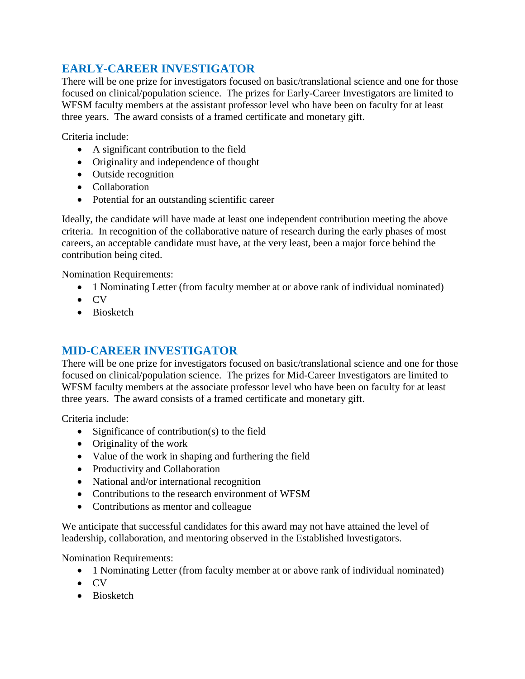# **EARLY-CAREER INVESTIGATOR**

There will be one prize for investigators focused on basic/translational science and one for those focused on clinical/population science. The prizes for Early-Career Investigators are limited to WFSM faculty members at the assistant professor level who have been on faculty for at least three years. The award consists of a framed certificate and monetary gift.

Criteria include:

- A significant contribution to the field
- Originality and independence of thought
- Outside recognition
- Collaboration
- Potential for an outstanding scientific career

Ideally, the candidate will have made at least one independent contribution meeting the above criteria. In recognition of the collaborative nature of research during the early phases of most careers, an acceptable candidate must have, at the very least, been a major force behind the contribution being cited.

Nomination Requirements:

- 1 Nominating Letter (from faculty member at or above rank of individual nominated)
- $\bullet$  CV
- Biosketch

## **MID-CAREER INVESTIGATOR**

There will be one prize for investigators focused on basic/translational science and one for those focused on clinical/population science. The prizes for Mid-Career Investigators are limited to WFSM faculty members at the associate professor level who have been on faculty for at least three years. The award consists of a framed certificate and monetary gift.

Criteria include:

- Significance of contribution(s) to the field
- Originality of the work
- Value of the work in shaping and furthering the field
- Productivity and Collaboration
- National and/or international recognition
- Contributions to the research environment of WFSM
- Contributions as mentor and colleague

We anticipate that successful candidates for this award may not have attained the level of leadership, collaboration, and mentoring observed in the Established Investigators.

Nomination Requirements:

- 1 Nominating Letter (from faculty member at or above rank of individual nominated)
- $\bullet$  CV
- Biosketch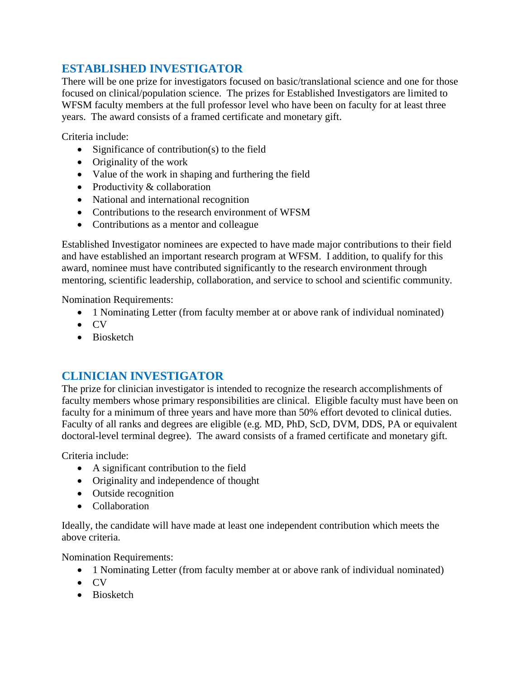# **ESTABLISHED INVESTIGATOR**

There will be one prize for investigators focused on basic/translational science and one for those focused on clinical/population science. The prizes for Established Investigators are limited to WFSM faculty members at the full professor level who have been on faculty for at least three years. The award consists of a framed certificate and monetary gift.

Criteria include:

- Significance of contribution(s) to the field
- Originality of the work
- Value of the work in shaping and furthering the field
- Productivity  $&$  collaboration
- National and international recognition
- Contributions to the research environment of WFSM
- Contributions as a mentor and colleague

Established Investigator nominees are expected to have made major contributions to their field and have established an important research program at WFSM. I addition, to qualify for this award, nominee must have contributed significantly to the research environment through mentoring, scientific leadership, collaboration, and service to school and scientific community.

Nomination Requirements:

- 1 Nominating Letter (from faculty member at or above rank of individual nominated)
- $\bullet$  CV
- Biosketch

# **CLINICIAN INVESTIGATOR**

The prize for clinician investigator is intended to recognize the research accomplishments of faculty members whose primary responsibilities are clinical. Eligible faculty must have been on faculty for a minimum of three years and have more than 50% effort devoted to clinical duties. Faculty of all ranks and degrees are eligible (e.g. MD, PhD, ScD, DVM, DDS, PA or equivalent doctoral-level terminal degree). The award consists of a framed certificate and monetary gift.

Criteria include:

- A significant contribution to the field
- Originality and independence of thought
- Outside recognition
- Collaboration

Ideally, the candidate will have made at least one independent contribution which meets the above criteria.

Nomination Requirements:

- 1 Nominating Letter (from faculty member at or above rank of individual nominated)
- $\bullet$  CV
- Biosketch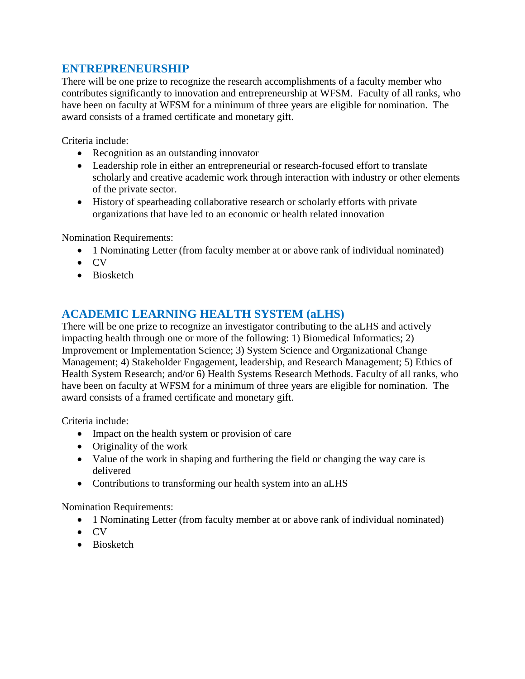## **ENTREPRENEURSHIP**

There will be one prize to recognize the research accomplishments of a faculty member who contributes significantly to innovation and entrepreneurship at WFSM. Faculty of all ranks, who have been on faculty at WFSM for a minimum of three years are eligible for nomination. The award consists of a framed certificate and monetary gift.

Criteria include:

- Recognition as an outstanding innovator
- Leadership role in either an entrepreneurial or research-focused effort to translate scholarly and creative academic work through interaction with industry or other elements of the private sector.
- History of spearheading collaborative research or scholarly efforts with private organizations that have led to an economic or health related innovation

Nomination Requirements:

- 1 Nominating Letter (from faculty member at or above rank of individual nominated)
- $\bullet$  CV
- Biosketch

## **ACADEMIC LEARNING HEALTH SYSTEM (aLHS)**

There will be one prize to recognize an investigator contributing to the aLHS and actively impacting health through one or more of the following: 1) Biomedical Informatics; 2) Improvement or Implementation Science; 3) System Science and Organizational Change Management; 4) Stakeholder Engagement, leadership, and Research Management; 5) Ethics of Health System Research; and/or 6) Health Systems Research Methods. Faculty of all ranks, who have been on faculty at WFSM for a minimum of three years are eligible for nomination. The award consists of a framed certificate and monetary gift.

Criteria include:

- Impact on the health system or provision of care
- Originality of the work
- Value of the work in shaping and furthering the field or changing the way care is delivered
- Contributions to transforming our health system into an aLHS

Nomination Requirements:

- 1 Nominating Letter (from faculty member at or above rank of individual nominated)
- $\bullet$  CV
- Biosketch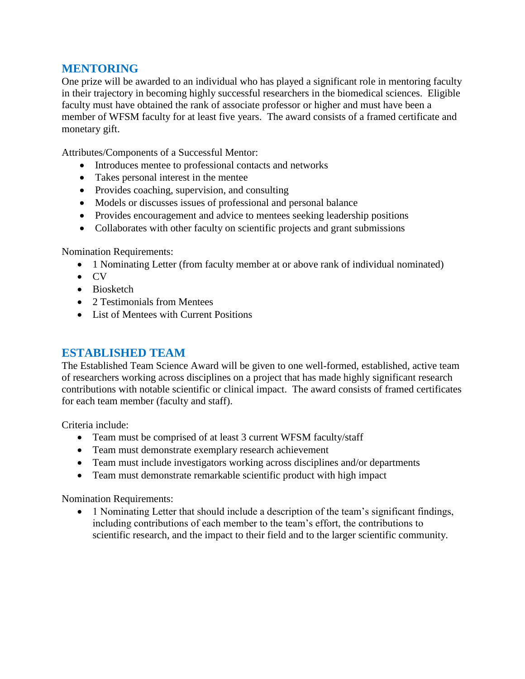### **MENTORING**

One prize will be awarded to an individual who has played a significant role in mentoring faculty in their trajectory in becoming highly successful researchers in the biomedical sciences. Eligible faculty must have obtained the rank of associate professor or higher and must have been a member of WFSM faculty for at least five years. The award consists of a framed certificate and monetary gift.

Attributes/Components of a Successful Mentor:

- Introduces mentee to professional contacts and networks
- Takes personal interest in the mentee
- Provides coaching, supervision, and consulting
- Models or discusses issues of professional and personal balance
- Provides encouragement and advice to mentees seeking leadership positions
- Collaborates with other faculty on scientific projects and grant submissions

#### Nomination Requirements:

- 1 Nominating Letter (from faculty member at or above rank of individual nominated)
- $\bullet$  CV
- Biosketch
- 2 Testimonials from Mentees
- List of Mentees with Current Positions

## **ESTABLISHED TEAM**

The Established Team Science Award will be given to one well-formed, established, active team of researchers working across disciplines on a project that has made highly significant research contributions with notable scientific or clinical impact. The award consists of framed certificates for each team member (faculty and staff).

Criteria include:

- Team must be comprised of at least 3 current WFSM faculty/staff
- Team must demonstrate exemplary research achievement
- Team must include investigators working across disciplines and/or departments
- Team must demonstrate remarkable scientific product with high impact

Nomination Requirements:

• 1 Nominating Letter that should include a description of the team's significant findings, including contributions of each member to the team's effort, the contributions to scientific research, and the impact to their field and to the larger scientific community.